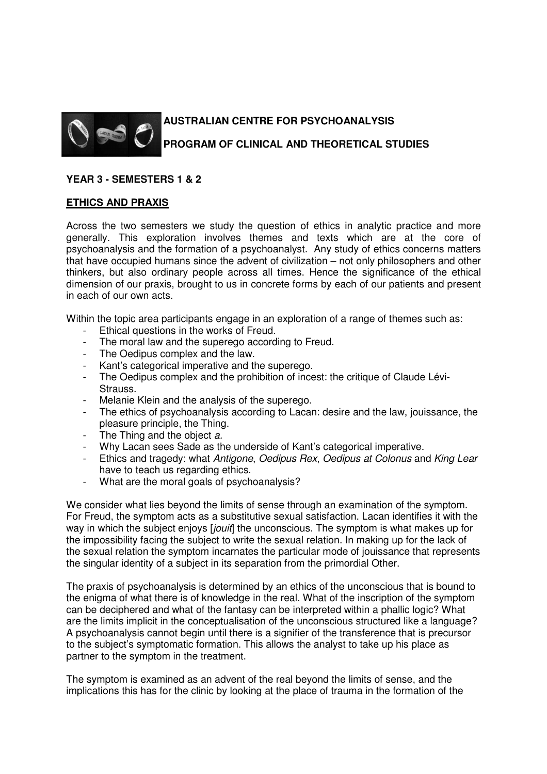

# **AUSTRALIAN CENTRE FOR PSYCHOANALYSIS PROGRAM OF CLINICAL AND THEORETICAL STUDIES**

## **YEAR 3 - SEMESTERS 1 & 2**

#### **ETHICS AND PRAXIS**

Across the two semesters we study the question of ethics in analytic practice and more generally. This exploration involves themes and texts which are at the core of psychoanalysis and the formation of a psychoanalyst. Any study of ethics concerns matters that have occupied humans since the advent of civilization – not only philosophers and other thinkers, but also ordinary people across all times. Hence the significance of the ethical dimension of our praxis, brought to us in concrete forms by each of our patients and present in each of our own acts.

Within the topic area participants engage in an exploration of a range of themes such as:

- Ethical questions in the works of Freud.
- The moral law and the superego according to Freud.
- The Oedipus complex and the law.
- Kant's categorical imperative and the superego.
- The Oedipus complex and the prohibition of incest: the critique of Claude Lévi-Strauss.
- Melanie Klein and the analysis of the superego.
- The ethics of psychoanalysis according to Lacan: desire and the law, jouissance, the pleasure principle, the Thing.
- The Thing and the object a.
- Why Lacan sees Sade as the underside of Kant's categorical imperative.
- Ethics and tragedy: what Antigone, Oedipus Rex, Oedipus at Colonus and King Lear have to teach us regarding ethics.
- What are the moral goals of psychoanalysis?

We consider what lies beyond the limits of sense through an examination of the symptom. For Freud, the symptom acts as a substitutive sexual satisfaction. Lacan identifies it with the way in which the subject enjoys [jouit] the unconscious. The symptom is what makes up for the impossibility facing the subject to write the sexual relation. In making up for the lack of the sexual relation the symptom incarnates the particular mode of jouissance that represents the singular identity of a subject in its separation from the primordial Other.

The praxis of psychoanalysis is determined by an ethics of the unconscious that is bound to the enigma of what there is of knowledge in the real. What of the inscription of the symptom can be deciphered and what of the fantasy can be interpreted within a phallic logic? What are the limits implicit in the conceptualisation of the unconscious structured like a language? A psychoanalysis cannot begin until there is a signifier of the transference that is precursor to the subject's symptomatic formation. This allows the analyst to take up his place as partner to the symptom in the treatment.

The symptom is examined as an advent of the real beyond the limits of sense, and the implications this has for the clinic by looking at the place of trauma in the formation of the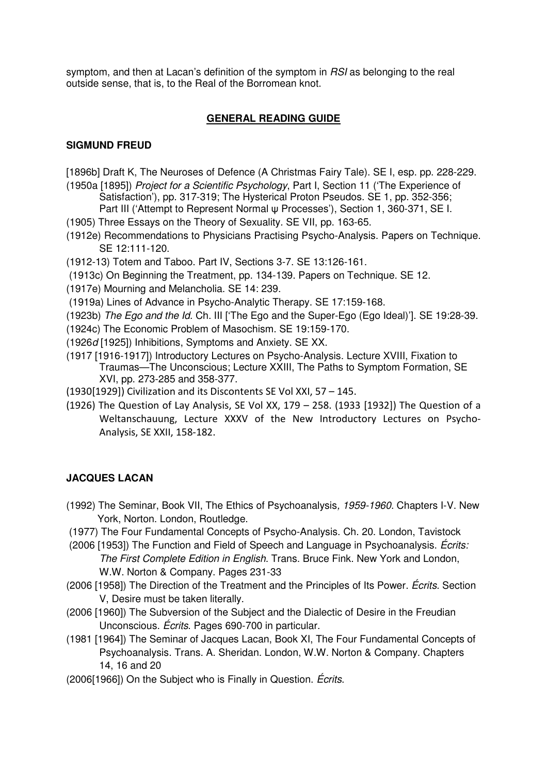symptom, and then at Lacan's definition of the symptom in RSI as belonging to the real outside sense, that is, to the Real of the Borromean knot.

## **GENERAL READING GUIDE**

## **SIGMUND FREUD**

- [1896b] Draft K, The Neuroses of Defence (A Christmas Fairy Tale). SE I, esp. pp. 228-229.
- (1950a [1895]) Project for a Scientific Psychology, Part I, Section 11 ('The Experience of Satisfaction'), pp. 317-319; The Hysterical Proton Pseudos. SE 1, pp. 352-356; Part III ('Attempt to Represent Normal ψ Processes'), Section 1, 360-371, SE I.
- (1905) Three Essays on the Theory of Sexuality. SE VII, pp. 163-65.
- (1912e) Recommendations to Physicians Practising Psycho-Analysis. Papers on Technique. SE 12:111-120.
- (1912-13) Totem and Taboo. Part IV, Sections 3-7. SE 13:126-161.
- (1913c) On Beginning the Treatment, pp. 134-139. Papers on Technique. SE 12.
- (1917e) Mourning and Melancholia. SE 14: 239.
- (1919a) Lines of Advance in Psycho-Analytic Therapy. SE 17:159-168.
- (1923b) The Ego and the Id. Ch. III ['The Ego and the Super-Ego (Ego Ideal)']. SE 19:28-39.
- (1924c) The Economic Problem of Masochism. SE 19:159-170.
- (1926d [1925]) Inhibitions, Symptoms and Anxiety. SE XX.
- (1917 [1916-1917]) Introductory Lectures on Psycho-Analysis. Lecture XVIII, Fixation to Traumas—The Unconscious; Lecture XXIII, The Paths to Symptom Formation, SE XVI, pp. 273-285 and 358-377.
- (1930[1929]) Civilization and its Discontents SE Vol XXI, 57 145.
- (1926) The Question of Lay Analysis, SE Vol XX, 179 258. (1933 [1932]) The Question of a Weltanschauung, Lecture XXXV of the New Introductory Lectures on Psycho-Analysis, SE XXII, 158-182.

## **JACQUES LACAN**

- (1992) The Seminar, Book VII, The Ethics of Psychoanalysis, 1959-1960. Chapters I-V. New York, Norton. London, Routledge.
- (1977) The Four Fundamental Concepts of Psycho-Analysis. Ch. 20. London, Tavistock
- (2006 [1953]) The Function and Field of Speech and Language in Psychoanalysis. Écrits: The First Complete Edition in English. Trans. Bruce Fink. New York and London, W.W. Norton & Company. Pages 231-33
- (2006 [1958]) The Direction of the Treatment and the Principles of Its Power. *Écrits*. Section V, Desire must be taken literally.
- (2006 [1960]) The Subversion of the Subject and the Dialectic of Desire in the Freudian Unconscious. Écrits. Pages 690-700 in particular.
- (1981 [1964]) The Seminar of Jacques Lacan, Book XI, The Four Fundamental Concepts of Psychoanalysis. Trans. A. Sheridan. London, W.W. Norton & Company. Chapters 14, 16 and 20
- (2006[1966]) On the Subject who is Finally in Question. Écrits.